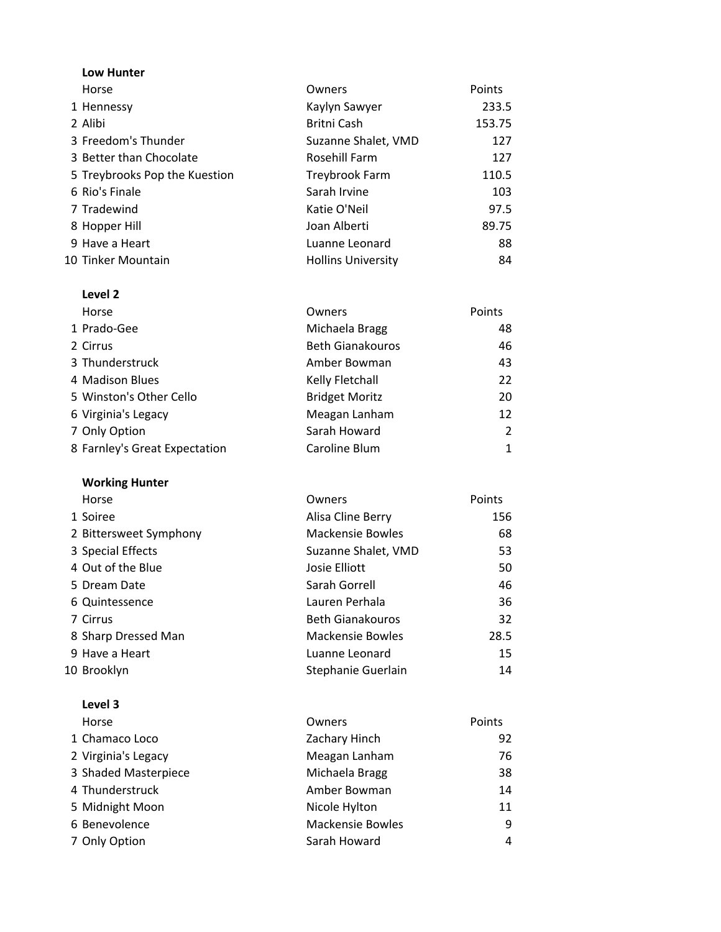| <b>Low Hunter</b>             |                           |        |
|-------------------------------|---------------------------|--------|
| Horse                         | Owners                    | Points |
| 1 Hennessy                    | Kaylyn Sawyer             | 233.5  |
| 2 Alibi                       | Britni Cash               | 153.75 |
| 3 Freedom's Thunder           | Suzanne Shalet, VMD       | 127    |
| 3 Better than Chocolate       | <b>Rosehill Farm</b>      | 127    |
| 5 Treybrooks Pop the Kuestion | Treybrook Farm            | 110.5  |
| 6 Rio's Finale                | Sarah Irvine              | 103    |
| 7 Tradewind                   | Katie O'Neil              | 97.5   |
| 8 Hopper Hill                 | Joan Alberti              | 89.75  |
| 9 Have a Heart                | Luanne Leonard            | 88     |
| 10 Tinker Mountain            | <b>Hollins University</b> | 84     |

| Level 2                       |                         |        |
|-------------------------------|-------------------------|--------|
| Horse                         | Owners                  | Points |
| 1 Prado-Gee                   | Michaela Bragg          | 48     |
| 2 Cirrus                      | <b>Beth Gianakouros</b> | 46     |
| 3 Thunderstruck               | Amber Bowman            | 43     |
| 4 Madison Blues               | Kelly Fletchall         | 22     |
| 5 Winston's Other Cello       | <b>Bridget Moritz</b>   | 20     |
| 6 Virginia's Legacy           | Meagan Lanham           | 12     |
| 7 Only Option                 | Sarah Howard            | 2      |
| 8 Farnley's Great Expectation | Caroline Blum           | 1      |

# Working Hunter

| Horse                  | Owners                  | Points |
|------------------------|-------------------------|--------|
| 1 Soiree               | Alisa Cline Berry       | 156    |
| 2 Bittersweet Symphony | <b>Mackensie Bowles</b> | 68     |
| 3 Special Effects      | Suzanne Shalet, VMD     | 53     |
| 4 Out of the Blue      | Josie Elliott           | 50     |
| 5 Dream Date           | Sarah Gorrell           | 46     |
| 6 Quintessence         | Lauren Perhala          | 36     |
| 7 Cirrus               | <b>Beth Gianakouros</b> | 32     |
| 8 Sharp Dressed Man    | Mackensie Bowles        | 28.5   |
| 9 Have a Heart         | Luanne Leonard          | 15     |
| 10 Brooklyn            | Stephanie Guerlain      | 14     |

| Level 3              |                         |        |
|----------------------|-------------------------|--------|
| Horse                | Owners                  | Points |
| 1 Chamaco Loco       | Zachary Hinch           | 92     |
| 2 Virginia's Legacy  | Meagan Lanham           | 76     |
| 3 Shaded Masterpiece | Michaela Bragg          | 38     |
| 4 Thunderstruck      | Amber Bowman            | 14     |
| 5 Midnight Moon      | Nicole Hylton           | 11     |
| 6 Benevolence        | <b>Mackensie Bowles</b> | 9      |
| 7 Only Option        | Sarah Howard            | 4      |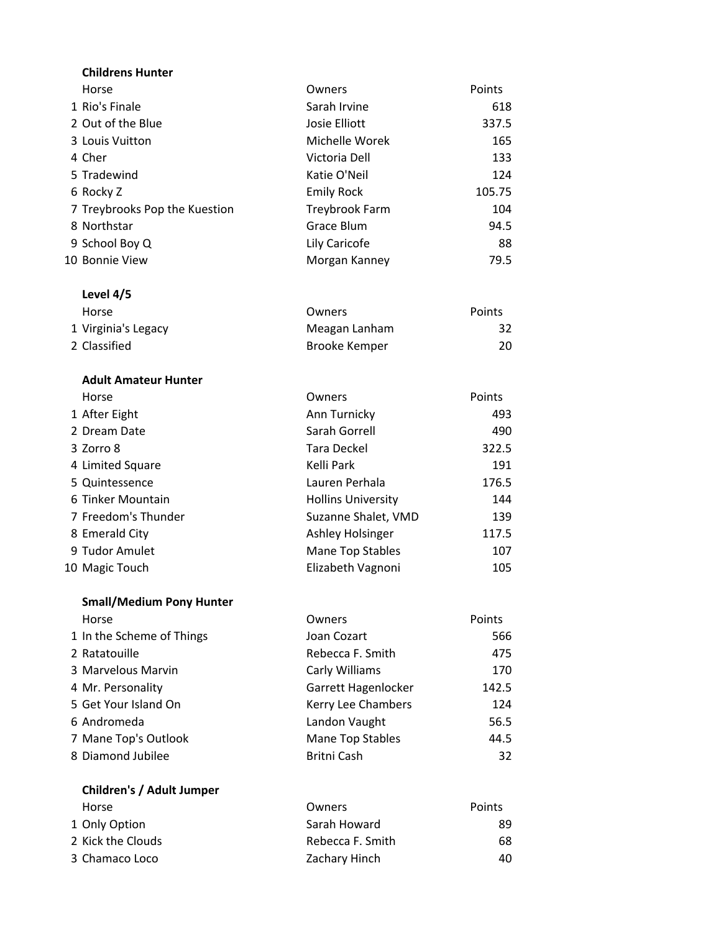| <b>Childrens Hunter</b>         |                           |        |
|---------------------------------|---------------------------|--------|
| Horse                           | Owners                    | Points |
| 1 Rio's Finale                  | Sarah Irvine              | 618    |
| 2 Out of the Blue               | Josie Elliott             | 337.5  |
| 3 Louis Vuitton                 | Michelle Worek            | 165    |
| 4 Cher                          | Victoria Dell             | 133    |
| 5 Tradewind                     | Katie O'Neil              | 124    |
| 6 Rocky Z                       | <b>Emily Rock</b>         | 105.75 |
| 7 Treybrooks Pop the Kuestion   | <b>Treybrook Farm</b>     | 104    |
| 8 Northstar                     | Grace Blum                | 94.5   |
| 9 School Boy Q                  | Lily Caricofe             | 88     |
| 10 Bonnie View                  | Morgan Kanney             | 79.5   |
| Level 4/5                       |                           |        |
| Horse                           | Owners                    | Points |
| 1 Virginia's Legacy             | Meagan Lanham             | 32     |
| 2 Classified                    | <b>Brooke Kemper</b>      | 20     |
| <b>Adult Amateur Hunter</b>     |                           |        |
| Horse                           | Owners                    | Points |
| 1 After Eight                   | Ann Turnicky              | 493    |
| 2 Dream Date                    | Sarah Gorrell             | 490    |
| 3 Zorro 8                       | <b>Tara Deckel</b>        | 322.5  |
| 4 Limited Square                | Kelli Park                | 191    |
| 5 Quintessence                  | Lauren Perhala            | 176.5  |
| 6 Tinker Mountain               | <b>Hollins University</b> | 144    |
| 7 Freedom's Thunder             | Suzanne Shalet, VMD       | 139    |
| 8 Emerald City                  | Ashley Holsinger          | 117.5  |
| 9 Tudor Amulet                  | <b>Mane Top Stables</b>   | 107    |
| 10 Magic Touch                  | Elizabeth Vagnoni         | 105    |
| <b>Small/Medium Pony Hunter</b> |                           |        |
| Horse                           | Owners                    | Points |
| 1 In the Scheme of Things       | Joan Cozart               | 566    |
| 2 Ratatouille                   | Rebecca F. Smith          | 475    |
| 3 Marvelous Marvin              | Carly Williams            | 170    |
| 4 Mr. Personality               | Garrett Hagenlocker       | 142.5  |
| 5 Get Your Island On            | Kerry Lee Chambers        | 124    |
| 6 Andromeda                     | Landon Vaught             | 56.5   |
| 7 Mane Top's Outlook            | Mane Top Stables          | 44.5   |
| 8 Diamond Jubilee               | <b>Britni Cash</b>        | 32     |
| Children's / Adult Jumper       |                           |        |
| Horse                           | Owners                    | Points |
| 1 Only Option                   | Sarah Howard              | 89     |

2 Kick the Clouds **Rebecca F. Smith** 68 3 Chamaco Loco **Xachary Hinch** 20 Zachary Hinch 40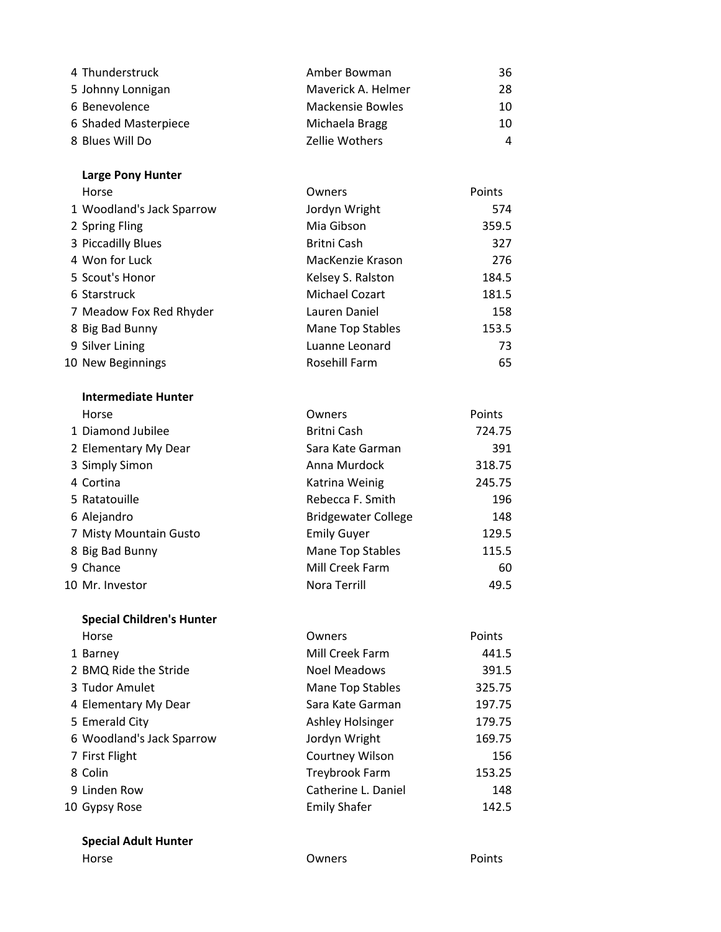| 4 Thunderstruck      | Amber Bowman       | 36  |
|----------------------|--------------------|-----|
| 5 Johnny Lonnigan    | Maverick A. Helmer | 28. |
| 6 Benevolence        | Mackensie Bowles   | 10  |
| 6 Shaded Masterpiece | Michaela Bragg     | 10  |
| 8 Blues Will Do      | Zellie Wothers     | 4   |

## Large Pony Hunter

| Horse                     | Owners            | Points |
|---------------------------|-------------------|--------|
| 1 Woodland's Jack Sparrow | Jordyn Wright     | 574    |
| 2 Spring Fling            | Mia Gibson        | 359.5  |
| 3 Piccadilly Blues        | Britni Cash       | 327    |
| 4 Won for Luck            | MacKenzie Krason  | 276    |
| 5 Scout's Honor           | Kelsey S. Ralston | 184.5  |
| 6 Starstruck              | Michael Cozart    | 181.5  |
| 7 Meadow Fox Red Rhyder   | Lauren Daniel     | 158    |
| 8 Big Bad Bunny           | Mane Top Stables  | 153.5  |
| 9 Silver Lining           | Luanne Leonard    | 73     |
| 10 New Beginnings         | Rosehill Farm     | 65     |

# Intermediate Hunter Horse **Contract Community** Developments **Community** Owners **Points**

|                            | 724.75      |
|----------------------------|-------------|
|                            |             |
| Sara Kate Garman           | 391         |
| Anna Murdock               | 318.75      |
| Katrina Weinig             | 245.75      |
| Rebecca F. Smith           | 196         |
| <b>Bridgewater College</b> | 148         |
| <b>Emily Guyer</b>         | 129.5       |
| Mane Top Stables           | 115.5       |
| Mill Creek Farm            | 60          |
| Nora Terrill               | 49.5        |
|                            | Britni Cash |

# Special Children's Hunter

| Horse                     | Owners              | Points |
|---------------------------|---------------------|--------|
| 1 Barney                  | Mill Creek Farm     | 441.5  |
| 2 BMQ Ride the Stride     | Noel Meadows        | 391.5  |
| 3 Tudor Amulet            | Mane Top Stables    | 325.75 |
| 4 Elementary My Dear      | Sara Kate Garman    | 197.75 |
| 5 Emerald City            | Ashley Holsinger    | 179.75 |
| 6 Woodland's Jack Sparrow | Jordyn Wright       | 169.75 |
| 7 First Flight            | Courtney Wilson     | 156    |
| 8 Colin                   | Treybrook Farm      | 153.25 |
| 9 Linden Row              | Catherine L. Daniel | 148    |
| 10 Gypsy Rose             | <b>Emily Shafer</b> | 142.5  |

#### Special Adult Hunter

| Horse | Owners | Points |
|-------|--------|--------|
|       |        |        |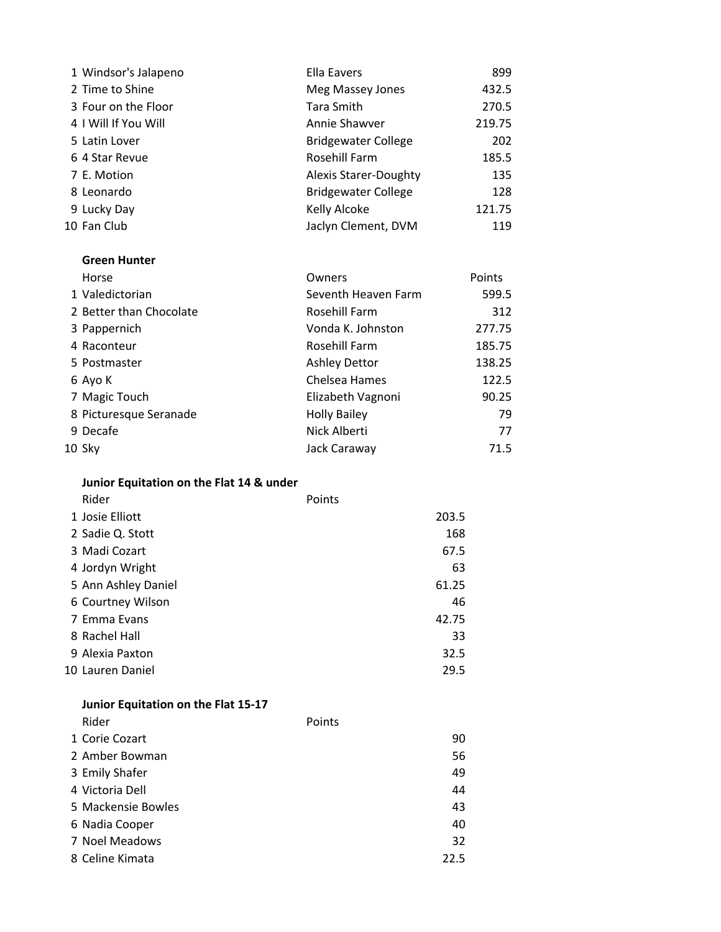| 1 Windsor's Jalapeno | Ella Eavers                | 899    |  |
|----------------------|----------------------------|--------|--|
| 2 Time to Shine      | Meg Massey Jones           | 432.5  |  |
| 3 Four on the Floor  | Tara Smith                 | 270.5  |  |
| 4 I Will If You Will | Annie Shawver              | 219.75 |  |
| 5 Latin Lover        | <b>Bridgewater College</b> | 202    |  |
| 6 4 Star Revue       | Rosehill Farm              | 185.5  |  |
| 7 E. Motion          | Alexis Starer-Doughty      | 135    |  |
| 8 Leonardo           | <b>Bridgewater College</b> | 128    |  |
| 9 Lucky Day          | Kelly Alcoke               | 121.75 |  |
| 10 Fan Club          | Jaclyn Clement, DVM        | 119    |  |
|                      |                            |        |  |

#### Green Hunter

| Horse                   | Owners               | Points |
|-------------------------|----------------------|--------|
| 1 Valedictorian         | Seventh Heaven Farm  | 599.5  |
| 2 Better than Chocolate | Rosehill Farm        | 312    |
| 3 Pappernich            | Vonda K. Johnston    | 277.75 |
| 4 Raconteur             | Rosehill Farm        | 185.75 |
| 5 Postmaster            | <b>Ashley Dettor</b> | 138.25 |
| 6 Ayo K                 | Chelsea Hames        | 122.5  |
| 7 Magic Touch           | Elizabeth Vagnoni    | 90.25  |
| 8 Picturesque Seranade  | <b>Holly Bailey</b>  | 79     |
| 9 Decafe                | Nick Alberti         | 77     |
| 10 Sky                  | Jack Caraway         | 71.5   |

| Junior Equitation on the Flat 14 & under |  |  |  |  |  |  |
|------------------------------------------|--|--|--|--|--|--|
|------------------------------------------|--|--|--|--|--|--|

| Rider               | Points |
|---------------------|--------|
| 1 Josie Elliott     | 203.5  |
| 2 Sadie Q. Stott    | 168    |
| 3 Madi Cozart       | 67.5   |
| 4 Jordyn Wright     | 63     |
| 5 Ann Ashley Daniel | 61.25  |
| 6 Courtney Wilson   | 46     |
| 7 Emma Evans        | 42.75  |
| 8 Rachel Hall       | 33     |
| 9 Alexia Paxton     | 32.5   |
| 10 Lauren Daniel    | 29.5   |

|                 | Junior Equitation on the Flat 15-17 |        |
|-----------------|-------------------------------------|--------|
| Rider           |                                     | Points |
| 1 Corie Cozart  |                                     | 90     |
| 2 Amber Bowman  |                                     | 56     |
| 3 Emily Shafer  |                                     | 49     |
| 4 Victoria Dell |                                     | 44     |
|                 | 5 Mackensie Bowles                  | 43     |
| 6 Nadia Cooper  |                                     | 40     |
| 7 Noel Meadows  |                                     | 32     |
| 8 Celine Kimata |                                     | 22.5   |